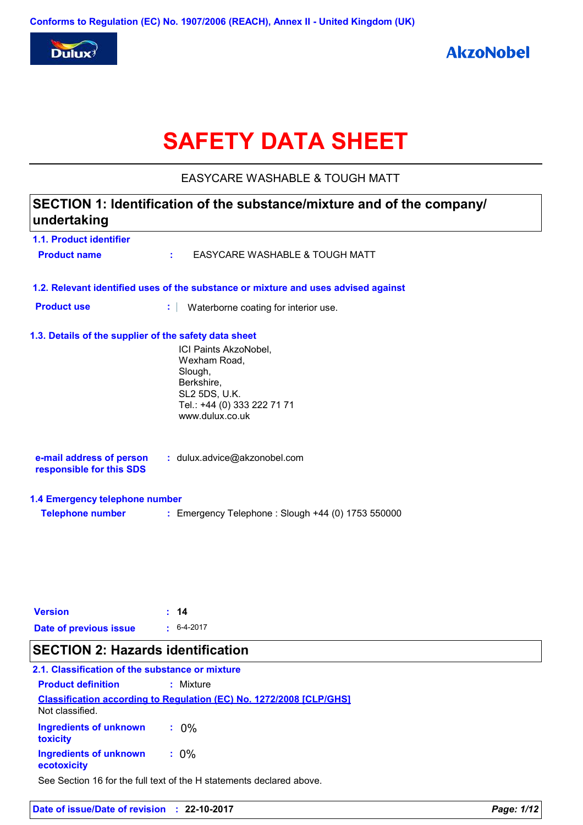

# **SAFETY DATA SHEET**

EASYCARE WASHABLE & TOUGH MATT

## **1.1. Product identifier 1.3. Details of the supplier of the safety data sheet 1.2. Relevant identified uses of the substance or mixture and uses advised against SECTION 1: Identification of the substance/mixture and of the company/ undertaking Date of previous issue :** 6-4-2017 ICI Paints AkzoNobel, Wexham Road, Slough, Berkshire, SL2 5DS, U.K. Tel.: +44 (0) 333 222 71 71 www.dulux.co.uk **e-mail address of person responsible for this SDS :** dulux.advice@akzonobel.com **1.4 Emergency telephone number Telephone number :** Emergency Telephone : Slough +44 (0) 1753 550000 **Version : 14 Product name :** EASYCARE WASHABLE & TOUGH MATT **Product use <b>:** Waterborne coating for interior use.

### **SECTION 2: Hazards identification**

### **Classification according to Regulation (EC) No. 1272/2008 [CLP/GHS] 2.1. Classification of the substance or mixture Product definition :** Mixture

| <u>ivul CidSSIIIEU.</u>               |         |  |
|---------------------------------------|---------|--|
| Ingredients of unknown<br>toxicity    | $.0\%$  |  |
| Ingredients of unknown<br>ecotoxicity | $: 0\%$ |  |

Not classified.

See Section 16 for the full text of the H statements declared above.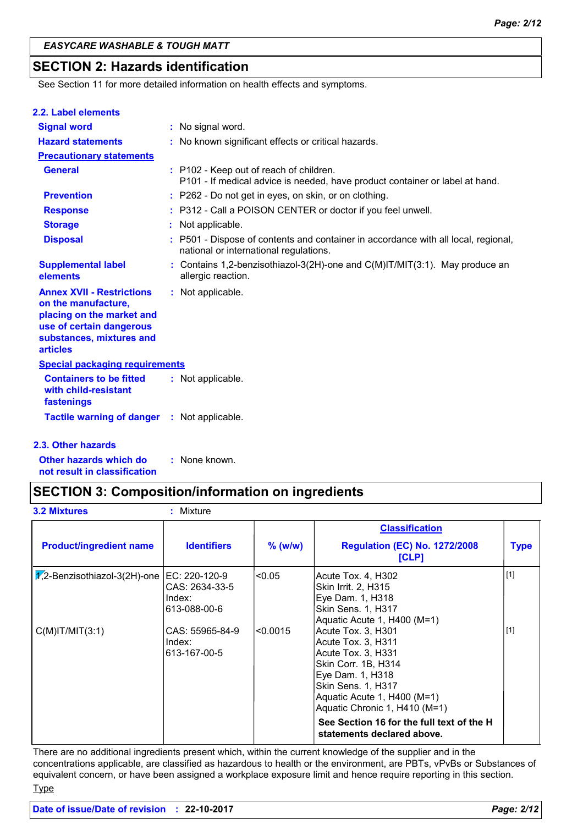### **SECTION 2: Hazards identification**

See Section 11 for more detailed information on health effects and symptoms.

|  | 2.2. Label elements |  |
|--|---------------------|--|

| <b>Signal word</b>                                                                                                                                              | : No signal word.                                                                                                            |
|-----------------------------------------------------------------------------------------------------------------------------------------------------------------|------------------------------------------------------------------------------------------------------------------------------|
| <b>Hazard statements</b>                                                                                                                                        | : No known significant effects or critical hazards.                                                                          |
| <b>Precautionary statements</b>                                                                                                                                 |                                                                                                                              |
| <b>General</b>                                                                                                                                                  | : P102 - Keep out of reach of children.<br>P101 - If medical advice is needed, have product container or label at hand.      |
| <b>Prevention</b>                                                                                                                                               | : P262 - Do not get in eyes, on skin, or on clothing.                                                                        |
| <b>Response</b>                                                                                                                                                 | : P312 - Call a POISON CENTER or doctor if you feel unwell.                                                                  |
| <b>Storage</b>                                                                                                                                                  | : Not applicable.                                                                                                            |
| <b>Disposal</b>                                                                                                                                                 | : P501 - Dispose of contents and container in accordance with all local, regional,<br>national or international regulations. |
| <b>Supplemental label</b><br>elements                                                                                                                           | : Contains 1,2-benzisothiazol-3(2H)-one and $C(M)$ IT/MIT(3:1). May produce an<br>allergic reaction.                         |
| <b>Annex XVII - Restrictions</b><br>on the manufacture,<br>placing on the market and<br>use of certain dangerous<br>substances, mixtures and<br><b>articles</b> | : Not applicable.                                                                                                            |
| <b>Special packaging requirements</b>                                                                                                                           |                                                                                                                              |
| <b>Containers to be fitted</b><br>with child-resistant<br>fastenings                                                                                            | : Not applicable.                                                                                                            |
| <b>Tactile warning of danger</b>                                                                                                                                | : Not applicable.                                                                                                            |

### **2.3. Other hazards**

**Other hazards which do : not result in classification** : None known.

### **SECTION 3: Composition/information on ingredients**

| <b>3.2 Mixtures</b>                  | Mixture                                                   |           |                                                                                                                                                                                                 |             |
|--------------------------------------|-----------------------------------------------------------|-----------|-------------------------------------------------------------------------------------------------------------------------------------------------------------------------------------------------|-------------|
|                                      |                                                           |           | <b>Classification</b>                                                                                                                                                                           |             |
| <b>Product/ingredient name</b>       | <b>Identifiers</b>                                        | $%$ (w/w) | <b>Regulation (EC) No. 1272/2008</b><br>[CLP]                                                                                                                                                   | <b>Type</b> |
| $\sqrt{2}$ -Benzisothiazol-3(2H)-one | EC: 220-120-9<br>CAS: 2634-33-5<br>Index:<br>613-088-00-6 | < 0.05    | Acute Tox. 4, H302<br>Skin Irrit. 2, H315<br>Eye Dam. 1, H318<br>Skin Sens. 1, H317<br>Aquatic Acute 1, H400 (M=1)                                                                              | $[1]$       |
| $C(M)$ IT/MIT $(3:1)$                | CAS: 55965-84-9<br>Index:<br>613-167-00-5                 | < 0.0015  | Acute Tox. 3, H301<br>Acute Tox. 3, H311<br>Acute Tox. 3, H331<br>Skin Corr. 1B, H314<br>Eye Dam. 1, H318<br>Skin Sens. 1, H317<br>Aquatic Acute 1, H400 (M=1)<br>Aquatic Chronic 1, H410 (M=1) | $[1]$       |
|                                      |                                                           |           | See Section 16 for the full text of the H<br>statements declared above.                                                                                                                         |             |

There are no additional ingredients present which, within the current knowledge of the supplier and in the concentrations applicable, are classified as hazardous to health or the environment, are PBTs, vPvBs or Substances of equivalent concern, or have been assigned a workplace exposure limit and hence require reporting in this section. **Type** 

```
Date of issue/Date of revision : 22-10-2017 Page: 2/12
```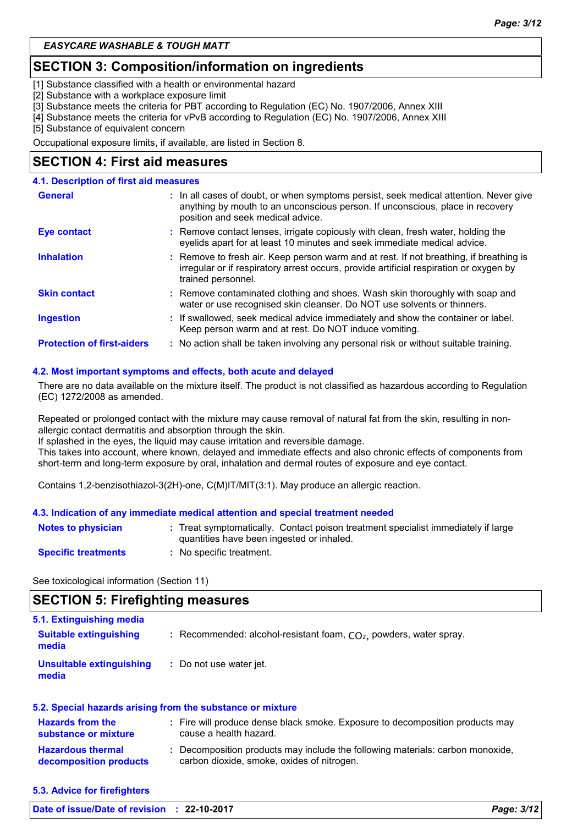### **SECTION 3: Composition/information on ingredients**

[1] Substance classified with a health or environmental hazard

[2] Substance with a workplace exposure limit

[3] Substance meets the criteria for PBT according to Regulation (EC) No. 1907/2006, Annex XIII

[4] Substance meets the criteria for vPvB according to Regulation (EC) No. 1907/2006, Annex XIII

[5] Substance of equivalent concern

Occupational exposure limits, if available, are listed in Section 8.

### **SECTION 4: First aid measures**

### **4.1. Description of first aid measures**

| <b>General</b>                    | : In all cases of doubt, or when symptoms persist, seek medical attention. Never give<br>anything by mouth to an unconscious person. If unconscious, place in recovery<br>position and seek medical advice. |
|-----------------------------------|-------------------------------------------------------------------------------------------------------------------------------------------------------------------------------------------------------------|
| Eye contact                       | : Remove contact lenses, irrigate copiously with clean, fresh water, holding the<br>eyelids apart for at least 10 minutes and seek immediate medical advice.                                                |
| <b>Inhalation</b>                 | : Remove to fresh air. Keep person warm and at rest. If not breathing, if breathing is<br>irregular or if respiratory arrest occurs, provide artificial respiration or oxygen by<br>trained personnel.      |
| <b>Skin contact</b>               | : Remove contaminated clothing and shoes. Wash skin thoroughly with soap and<br>water or use recognised skin cleanser. Do NOT use solvents or thinners.                                                     |
| <b>Ingestion</b>                  | : If swallowed, seek medical advice immediately and show the container or label.<br>Keep person warm and at rest. Do NOT induce vomiting.                                                                   |
| <b>Protection of first-aiders</b> | : No action shall be taken involving any personal risk or without suitable training.                                                                                                                        |

#### **4.2. Most important symptoms and effects, both acute and delayed**

There are no data available on the mixture itself. The product is not classified as hazardous according to Regulation (EC) 1272/2008 as amended.

Repeated or prolonged contact with the mixture may cause removal of natural fat from the skin, resulting in nonallergic contact dermatitis and absorption through the skin.

If splashed in the eyes, the liquid may cause irritation and reversible damage.

This takes into account, where known, delayed and immediate effects and also chronic effects of components from short-term and long-term exposure by oral, inhalation and dermal routes of exposure and eye contact.

Contains 1,2-benzisothiazol-3(2H)-one, C(M)IT/MIT(3:1). May produce an allergic reaction.

#### **4.3. Indication of any immediate medical attention and special treatment needed**

| <b>Notes to physician</b>  | : Treat symptomatically. Contact poison treatment specialist immediately if large<br>quantities have been ingested or inhaled. |
|----------------------------|--------------------------------------------------------------------------------------------------------------------------------|
| <b>Specific treatments</b> | No specific treatment.                                                                                                         |

See toxicological information (Section 11)

### **SECTION 5: Firefighting measures**

| 5.1. Extinguishing media               |                                                                      |
|----------------------------------------|----------------------------------------------------------------------|
| <b>Suitable extinguishing</b><br>media | : Recommended: alcohol-resistant foam, $CO2$ , powders, water spray. |
| Unsuitable extinguishing<br>media      | : Do not use water jet.                                              |

| 5.2. Special hazards arising from the substance or mixture |                                                                                                                              |  |
|------------------------------------------------------------|------------------------------------------------------------------------------------------------------------------------------|--|
| <b>Hazards from the</b><br>substance or mixture            | : Fire will produce dense black smoke. Exposure to decomposition products may<br>cause a health hazard.                      |  |
| <b>Hazardous thermal</b><br>decomposition products         | : Decomposition products may include the following materials: carbon monoxide,<br>carbon dioxide, smoke, oxides of nitrogen. |  |

**5.3. Advice for firefighters**

| Date of issue/Date of revision : 22-10-2017 | Page: 3/12 |
|---------------------------------------------|------------|
|---------------------------------------------|------------|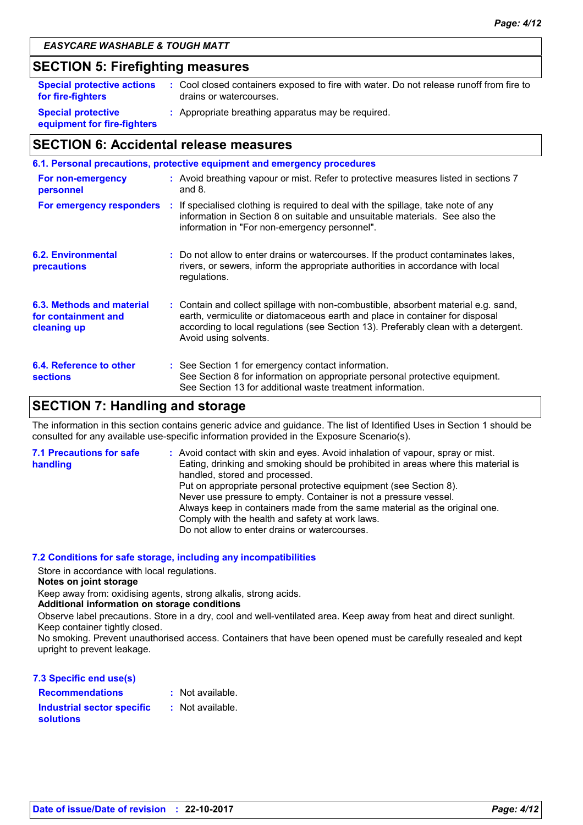### **SECTION 5: Firefighting measures**

| <b>Special protective actions</b>                        | : Cool closed containers exposed to fire with water. Do not release runoff from fire to |
|----------------------------------------------------------|-----------------------------------------------------------------------------------------|
| for fire-fighters                                        | drains or watercourses.                                                                 |
| <b>Special protective</b><br>equipment for fire-fighters | : Appropriate breathing apparatus may be required.                                      |

### **SECTION 6: Accidental release measures**

|                                                                 | 6.1. Personal precautions, protective equipment and emergency procedures                                                                                                                                                                                                           |
|-----------------------------------------------------------------|------------------------------------------------------------------------------------------------------------------------------------------------------------------------------------------------------------------------------------------------------------------------------------|
| For non-emergency<br>personnel                                  | : Avoid breathing vapour or mist. Refer to protective measures listed in sections 7<br>and $8.$                                                                                                                                                                                    |
|                                                                 | For emergency responders : If specialised clothing is required to deal with the spillage, take note of any<br>information in Section 8 on suitable and unsuitable materials. See also the<br>information in "For non-emergency personnel".                                         |
| 6.2. Environmental<br>precautions                               | : Do not allow to enter drains or watercourses. If the product contaminates lakes,<br>rivers, or sewers, inform the appropriate authorities in accordance with local<br>regulations.                                                                                               |
| 6.3. Methods and material<br>for containment and<br>cleaning up | : Contain and collect spillage with non-combustible, absorbent material e.g. sand,<br>earth, vermiculite or diatomaceous earth and place in container for disposal<br>according to local regulations (see Section 13). Preferably clean with a detergent.<br>Avoid using solvents. |
| 6.4. Reference to other<br><b>sections</b>                      | : See Section 1 for emergency contact information.<br>See Section 8 for information on appropriate personal protective equipment.<br>See Section 13 for additional waste treatment information.                                                                                    |

### **SECTION 7: Handling and storage**

The information in this section contains generic advice and guidance. The list of Identified Uses in Section 1 should be consulted for any available use-specific information provided in the Exposure Scenario(s).

| <b>7.1 Precautions for safe</b> | : Avoid contact with skin and eyes. Avoid inhalation of vapour, spray or mist.    |
|---------------------------------|-----------------------------------------------------------------------------------|
| handling                        | Eating, drinking and smoking should be prohibited in areas where this material is |
|                                 | handled, stored and processed.                                                    |
|                                 | Put on appropriate personal protective equipment (see Section 8).                 |
|                                 | Never use pressure to empty. Container is not a pressure vessel.                  |
|                                 | Always keep in containers made from the same material as the original one.        |
|                                 | Comply with the health and safety at work laws.                                   |
|                                 | Do not allow to enter drains or watercourses.                                     |

### **7.2 Conditions for safe storage, including any incompatibilities**

Store in accordance with local regulations.

#### **Notes on joint storage**

Keep away from: oxidising agents, strong alkalis, strong acids.

#### **Additional information on storage conditions**

Observe label precautions. Store in a dry, cool and well-ventilated area. Keep away from heat and direct sunlight. Keep container tightly closed.

No smoking. Prevent unauthorised access. Containers that have been opened must be carefully resealed and kept upright to prevent leakage.

| 7.3 Specific end use(s)           |                  |
|-----------------------------------|------------------|
| <b>Recommendations</b>            | : Not available. |
| <b>Industrial sector specific</b> | : Not available. |
| <b>solutions</b>                  |                  |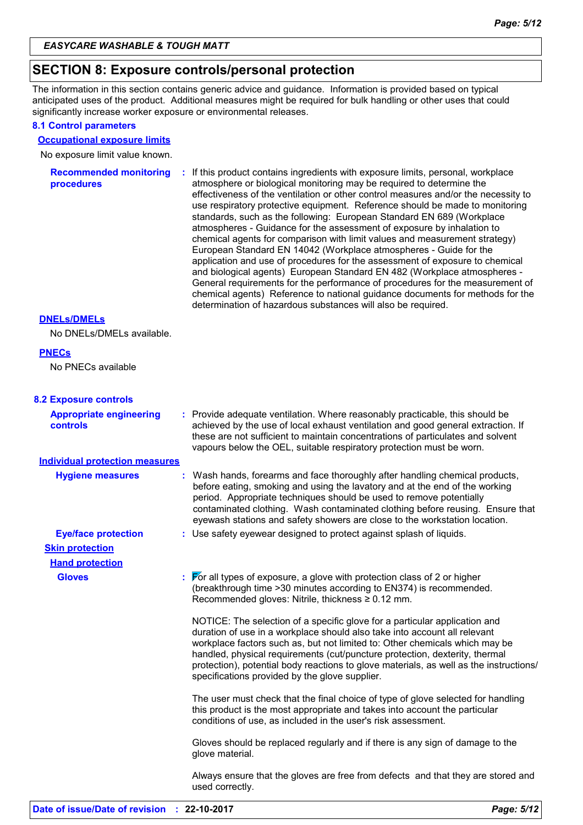### **SECTION 8: Exposure controls/personal protection**

The information in this section contains generic advice and guidance. Information is provided based on typical anticipated uses of the product. Additional measures might be required for bulk handling or other uses that could significantly increase worker exposure or environmental releases.

### **8.1 Control parameters**

#### **Occupational exposure limits**

No exposure limit value known.

| <b>Recommended monitoring</b><br>procedures | : If this product contains ingredients with exposure limits, personal, workplace<br>atmosphere or biological monitoring may be required to determine the<br>effectiveness of the ventilation or other control measures and/or the necessity to<br>use respiratory protective equipment. Reference should be made to monitoring<br>standards, such as the following: European Standard EN 689 (Workplace<br>atmospheres - Guidance for the assessment of exposure by inhalation to<br>chemical agents for comparison with limit values and measurement strategy)<br>European Standard EN 14042 (Workplace atmospheres - Guide for the<br>application and use of procedures for the assessment of exposure to chemical<br>and biological agents) European Standard EN 482 (Workplace atmospheres -<br>General requirements for the performance of procedures for the measurement of |
|---------------------------------------------|-----------------------------------------------------------------------------------------------------------------------------------------------------------------------------------------------------------------------------------------------------------------------------------------------------------------------------------------------------------------------------------------------------------------------------------------------------------------------------------------------------------------------------------------------------------------------------------------------------------------------------------------------------------------------------------------------------------------------------------------------------------------------------------------------------------------------------------------------------------------------------------|
|                                             | chemical agents) Reference to national guidance documents for methods for the<br>determination of hazardous substances will also be required.                                                                                                                                                                                                                                                                                                                                                                                                                                                                                                                                                                                                                                                                                                                                     |

#### **DNELs/DMELs**

No DNELs/DMELs available.

#### **PNECs**

No PNECs available

| <b>8.2 Exposure controls</b> |  |  |  |  |
|------------------------------|--|--|--|--|
|------------------------------|--|--|--|--|

| <b>Appropriate engineering</b><br>controls | : Provide adequate ventilation. Where reasonably practicable, this should be<br>achieved by the use of local exhaust ventilation and good general extraction. If<br>these are not sufficient to maintain concentrations of particulates and solvent<br>vapours below the OEL, suitable respiratory protection must be worn.                                                                                                                                       |
|--------------------------------------------|-------------------------------------------------------------------------------------------------------------------------------------------------------------------------------------------------------------------------------------------------------------------------------------------------------------------------------------------------------------------------------------------------------------------------------------------------------------------|
| <b>Individual protection measures</b>      |                                                                                                                                                                                                                                                                                                                                                                                                                                                                   |
| <b>Hygiene measures</b>                    | : Wash hands, forearms and face thoroughly after handling chemical products,<br>before eating, smoking and using the lavatory and at the end of the working<br>period. Appropriate techniques should be used to remove potentially<br>contaminated clothing. Wash contaminated clothing before reusing. Ensure that<br>eyewash stations and safety showers are close to the workstation location.                                                                 |
| <b>Eye/face protection</b>                 | : Use safety eyewear designed to protect against splash of liquids.                                                                                                                                                                                                                                                                                                                                                                                               |
| <b>Skin protection</b>                     |                                                                                                                                                                                                                                                                                                                                                                                                                                                                   |
| <b>Hand protection</b>                     |                                                                                                                                                                                                                                                                                                                                                                                                                                                                   |
| <b>Gloves</b>                              | $\frac{1}{2}$ $\sqrt{5}$ For all types of exposure, a glove with protection class of 2 or higher<br>(breakthrough time > 30 minutes according to EN374) is recommended.<br>Recommended gloves: Nitrile, thickness $\geq 0.12$ mm.                                                                                                                                                                                                                                 |
|                                            | NOTICE: The selection of a specific glove for a particular application and<br>duration of use in a workplace should also take into account all relevant<br>workplace factors such as, but not limited to: Other chemicals which may be<br>handled, physical requirements (cut/puncture protection, dexterity, thermal<br>protection), potential body reactions to glove materials, as well as the instructions/<br>specifications provided by the glove supplier. |
|                                            | The user must check that the final choice of type of glove selected for handling<br>this product is the most appropriate and takes into account the particular<br>conditions of use, as included in the user's risk assessment.                                                                                                                                                                                                                                   |
|                                            | Gloves should be replaced regularly and if there is any sign of damage to the<br>glove material.                                                                                                                                                                                                                                                                                                                                                                  |
|                                            | Always ensure that the gloves are free from defects and that they are stored and<br>used correctly.                                                                                                                                                                                                                                                                                                                                                               |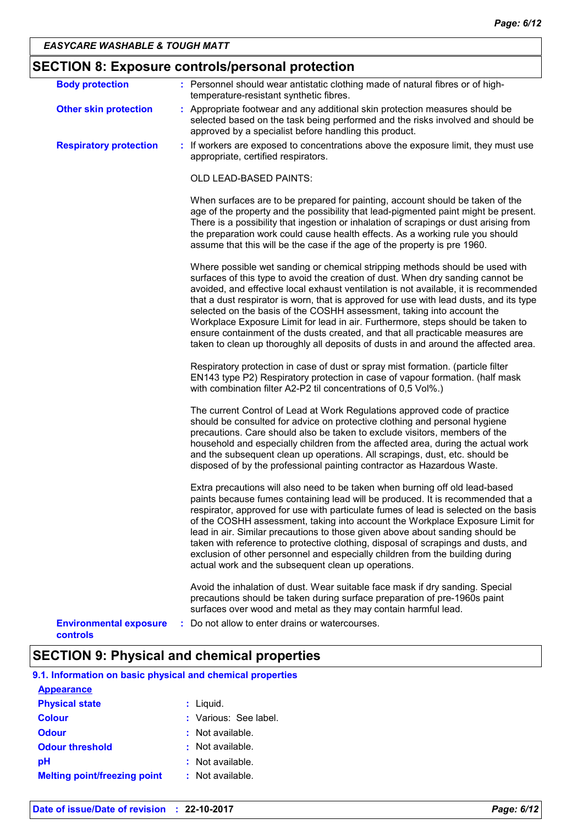|  | <b>SECTION 8: Exposure controls/personal protection</b> |  |  |
|--|---------------------------------------------------------|--|--|
|--|---------------------------------------------------------|--|--|

| <b>Body protection</b>                    | : Personnel should wear antistatic clothing made of natural fibres or of high-<br>temperature-resistant synthetic fibres.                                                                                                                                                                                                                                                                                                                                                                                                                                                                                                                                                               |
|-------------------------------------------|-----------------------------------------------------------------------------------------------------------------------------------------------------------------------------------------------------------------------------------------------------------------------------------------------------------------------------------------------------------------------------------------------------------------------------------------------------------------------------------------------------------------------------------------------------------------------------------------------------------------------------------------------------------------------------------------|
| <b>Other skin protection</b>              | : Appropriate footwear and any additional skin protection measures should be<br>selected based on the task being performed and the risks involved and should be<br>approved by a specialist before handling this product.                                                                                                                                                                                                                                                                                                                                                                                                                                                               |
| <b>Respiratory protection</b>             | : If workers are exposed to concentrations above the exposure limit, they must use<br>appropriate, certified respirators.                                                                                                                                                                                                                                                                                                                                                                                                                                                                                                                                                               |
|                                           | OLD LEAD-BASED PAINTS:                                                                                                                                                                                                                                                                                                                                                                                                                                                                                                                                                                                                                                                                  |
|                                           | When surfaces are to be prepared for painting, account should be taken of the<br>age of the property and the possibility that lead-pigmented paint might be present.<br>There is a possibility that ingestion or inhalation of scrapings or dust arising from<br>the preparation work could cause health effects. As a working rule you should<br>assume that this will be the case if the age of the property is pre 1960.                                                                                                                                                                                                                                                             |
|                                           | Where possible wet sanding or chemical stripping methods should be used with<br>surfaces of this type to avoid the creation of dust. When dry sanding cannot be<br>avoided, and effective local exhaust ventilation is not available, it is recommended<br>that a dust respirator is worn, that is approved for use with lead dusts, and its type<br>selected on the basis of the COSHH assessment, taking into account the<br>Workplace Exposure Limit for lead in air. Furthermore, steps should be taken to<br>ensure containment of the dusts created, and that all practicable measures are<br>taken to clean up thoroughly all deposits of dusts in and around the affected area. |
|                                           | Respiratory protection in case of dust or spray mist formation. (particle filter<br>EN143 type P2) Respiratory protection in case of vapour formation. (half mask<br>with combination filter A2-P2 til concentrations of 0,5 Vol%.)                                                                                                                                                                                                                                                                                                                                                                                                                                                     |
|                                           | The current Control of Lead at Work Regulations approved code of practice<br>should be consulted for advice on protective clothing and personal hygiene<br>precautions. Care should also be taken to exclude visitors, members of the<br>household and especially children from the affected area, during the actual work<br>and the subsequent clean up operations. All scrapings, dust, etc. should be<br>disposed of by the professional painting contractor as Hazardous Waste.                                                                                                                                                                                                     |
|                                           | Extra precautions will also need to be taken when burning off old lead-based<br>paints because fumes containing lead will be produced. It is recommended that a<br>respirator, approved for use with particulate fumes of lead is selected on the basis<br>of the COSHH assessment, taking into account the Workplace Exposure Limit for<br>lead in air. Similar precautions to those given above about sanding should be<br>taken with reference to protective clothing, disposal of scrapings and dusts, and<br>exclusion of other personnel and especially children from the building during<br>actual work and the subsequent clean up operations.                                  |
|                                           | Avoid the inhalation of dust. Wear suitable face mask if dry sanding. Special<br>precautions should be taken during surface preparation of pre-1960s paint<br>surfaces over wood and metal as they may contain harmful lead.                                                                                                                                                                                                                                                                                                                                                                                                                                                            |
| <b>Environmental exposure</b><br>controls | : Do not allow to enter drains or watercourses.                                                                                                                                                                                                                                                                                                                                                                                                                                                                                                                                                                                                                                         |

### **SECTION 9: Physical and chemical properties**

**9.1. Information on basic physical and chemical properties**

| <b>Appearance</b>                   |                       |
|-------------------------------------|-----------------------|
| <b>Physical state</b>               | : Liquid.             |
| <b>Colour</b>                       | : Various: See label. |
| <b>Odour</b>                        | $:$ Not available.    |
| <b>Odour threshold</b>              | : Not available.      |
| рH                                  | : Not available.      |
| <b>Melting point/freezing point</b> | : Not available.      |
|                                     |                       |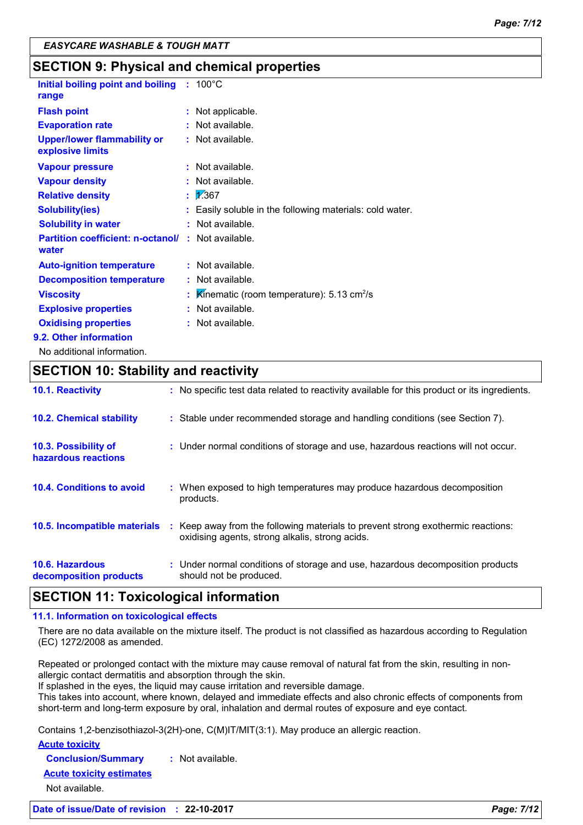|  | <b>SECTION 9: Physical and chemical properties</b> |  |
|--|----------------------------------------------------|--|
|--|----------------------------------------------------|--|

| Initial boiling point and boiling<br>range                         | $: 100^{\circ}$ C                                          |
|--------------------------------------------------------------------|------------------------------------------------------------|
| <b>Flash point</b>                                                 | : Not applicable.                                          |
| <b>Evaporation rate</b>                                            | $:$ Not available.                                         |
| <b>Upper/lower flammability or</b><br>explosive limits             | $:$ Not available.                                         |
| <b>Vapour pressure</b>                                             | $:$ Not available.                                         |
| <b>Vapour density</b>                                              | : Not available.                                           |
| <b>Relative density</b>                                            | $\frac{1}{2}$ 7.367                                        |
| <b>Solubility(ies)</b>                                             | : Easily soluble in the following materials: cold water.   |
| <b>Solubility in water</b>                                         | $:$ Not available.                                         |
| <b>Partition coefficient: n-octanol/ : Not available.</b><br>water |                                                            |
| <b>Auto-ignition temperature</b>                                   | : Not available.                                           |
| <b>Decomposition temperature</b>                                   | : Not available.                                           |
| <b>Viscosity</b>                                                   | Kinematic (room temperature): $5.13 \text{ cm}^2/\text{s}$ |
| <b>Explosive properties</b>                                        | : Not available.                                           |
| <b>Oxidising properties</b>                                        | : Not available.                                           |
| 9.2. Other information                                             |                                                            |
| No additional information.                                         |                                                            |

**SECTION 10: Stability and reactivity 10.5. Incompatible materials** : Keep away from the following materials to prevent strong exothermic reactions: oxidising agents, strong alkalis, strong acids. **10.6. Hazardous decomposition products 10.4. Conditions to avoid** : When exposed to high temperatures may produce hazardous decomposition products. **10.2. Chemical stability :** Stable under recommended storage and handling conditions (see Section 7). **:** Under normal conditions of storage and use, hazardous decomposition products **10.3. Possibility of hazardous reactions :** Under normal conditions of storage and use, hazardous reactions will not occur. **10.1. Reactivity :** No specific test data related to reactivity available for this product or its ingredients. should not be produced.

### **SECTION 11: Toxicological information**

#### **11.1. Information on toxicological effects**

There are no data available on the mixture itself. The product is not classified as hazardous according to Regulation (EC) 1272/2008 as amended.

Repeated or prolonged contact with the mixture may cause removal of natural fat from the skin, resulting in nonallergic contact dermatitis and absorption through the skin.

If splashed in the eyes, the liquid may cause irritation and reversible damage.

This takes into account, where known, delayed and immediate effects and also chronic effects of components from short-term and long-term exposure by oral, inhalation and dermal routes of exposure and eye contact.

Contains 1,2-benzisothiazol-3(2H)-one, C(M)IT/MIT(3:1). May produce an allergic reaction.

#### **Acute toxicity**

**Conclusion/Summary :** Not available.

**Acute toxicity estimates**

Not available.

**Date of issue/Date of revision : 22-10-2017** *Page: 7/12*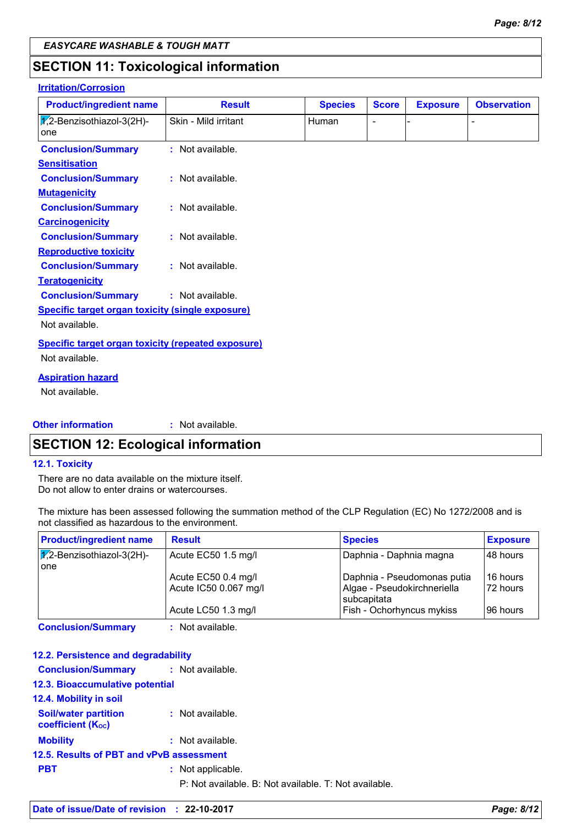### **SECTION 11: Toxicological information**

### **Irritation/Corrosion**

| <b>Product/ingredient name</b>                            | <b>Result</b>        | <b>Species</b> | <b>Score</b>             | <b>Exposure</b> | <b>Observation</b> |
|-----------------------------------------------------------|----------------------|----------------|--------------------------|-----------------|--------------------|
| $\sqrt{2}$ -Benzisothiazol-3(2H)-<br>one                  | Skin - Mild irritant | Human          | $\overline{\phantom{0}}$ |                 |                    |
| <b>Conclusion/Summary</b>                                 | : Not available.     |                |                          |                 |                    |
| <b>Sensitisation</b>                                      |                      |                |                          |                 |                    |
| <b>Conclusion/Summary</b>                                 | : Not available.     |                |                          |                 |                    |
| <b>Mutagenicity</b>                                       |                      |                |                          |                 |                    |
| <b>Conclusion/Summary</b>                                 | : Not available.     |                |                          |                 |                    |
| <b>Carcinogenicity</b>                                    |                      |                |                          |                 |                    |
| <b>Conclusion/Summary</b>                                 | : Not available.     |                |                          |                 |                    |
| <b>Reproductive toxicity</b>                              |                      |                |                          |                 |                    |
| <b>Conclusion/Summary</b>                                 | : Not available.     |                |                          |                 |                    |
| <b>Teratogenicity</b>                                     |                      |                |                          |                 |                    |
| <b>Conclusion/Summary</b>                                 | : Not available.     |                |                          |                 |                    |
| <b>Specific target organ toxicity (single exposure)</b>   |                      |                |                          |                 |                    |
| Not available.                                            |                      |                |                          |                 |                    |
| <b>Specific target organ toxicity (repeated exposure)</b> |                      |                |                          |                 |                    |
| Not available.                                            |                      |                |                          |                 |                    |
| <b>Aspiration hazard</b>                                  |                      |                |                          |                 |                    |
| Not available.                                            |                      |                |                          |                 |                    |
| <b>Other information</b>                                  | : Not available.     |                |                          |                 |                    |

### **SECTION 12: Ecological information**

#### **12.1. Toxicity**

There are no data available on the mixture itself. Do not allow to enter drains or watercourses.

The mixture has been assessed following the summation method of the CLP Regulation (EC) No 1272/2008 and is not classified as hazardous to the environment.

| <b>Result</b>         | <b>Species</b>              | <b>Exposure</b>                            |
|-----------------------|-----------------------------|--------------------------------------------|
| Acute EC50 1.5 mg/l   | Daphnia - Daphnia magna     | 48 hours                                   |
|                       |                             | 16 hours                                   |
| Acute IC50 0.067 mg/l | Algae - Pseudokirchneriella | 72 hours                                   |
| Acute LC50 1.3 mg/l   | Fish - Ochorhyncus mykiss   | 96 hours                                   |
|                       | Acute EC50 0.4 mg/l         | Daphnia - Pseudomonas putia<br>subcapitata |

**Conclusion/Summary :** Not available.

#### **12.2. Persistence and degradability**

| <b>Conclusion/Summary : Not available.</b>              |                                                       |
|---------------------------------------------------------|-------------------------------------------------------|
| 12.3. Bioaccumulative potential                         |                                                       |
| <b>12.4. Mobility in soil</b>                           |                                                       |
| <b>Soil/water partition</b><br><b>coefficient (Koc)</b> | : Not available.                                      |
| <b>Mobility</b>                                         | : Not available.                                      |
| 12.5. Results of PBT and vPvB assessment                |                                                       |
| <b>PBT</b>                                              | : Not applicable.                                     |
|                                                         | P: Not available, B: Not available, T: Not available. |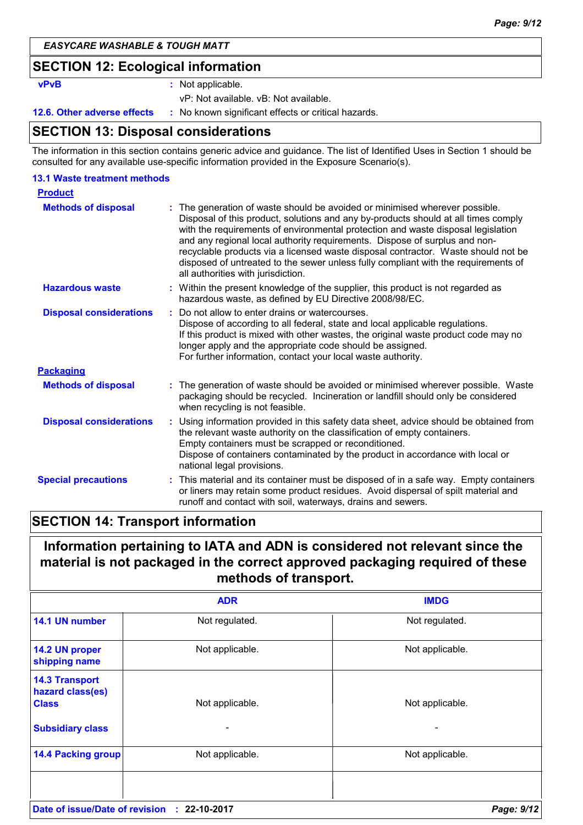### **SECTION 12: Ecological information**

**vPvB :** Not applicable.

vP: Not available. vB: Not available.

**12.6. Other adverse effects** : No known significant effects or critical hazards.

### **SECTION 13: Disposal considerations**

The information in this section contains generic advice and guidance. The list of Identified Uses in Section 1 should be consulted for any available use-specific information provided in the Exposure Scenario(s).

#### **13.1 Waste treatment methods**

| <b>Product</b>                 |                                                                                                                                                                                                                                                                                                                                                                                                                                                                                                                                                    |
|--------------------------------|----------------------------------------------------------------------------------------------------------------------------------------------------------------------------------------------------------------------------------------------------------------------------------------------------------------------------------------------------------------------------------------------------------------------------------------------------------------------------------------------------------------------------------------------------|
| <b>Methods of disposal</b>     | The generation of waste should be avoided or minimised wherever possible.<br>Disposal of this product, solutions and any by-products should at all times comply<br>with the requirements of environmental protection and waste disposal legislation<br>and any regional local authority requirements. Dispose of surplus and non-<br>recyclable products via a licensed waste disposal contractor. Waste should not be<br>disposed of untreated to the sewer unless fully compliant with the requirements of<br>all authorities with jurisdiction. |
| <b>Hazardous waste</b>         | : Within the present knowledge of the supplier, this product is not regarded as<br>hazardous waste, as defined by EU Directive 2008/98/EC.                                                                                                                                                                                                                                                                                                                                                                                                         |
| <b>Disposal considerations</b> | Do not allow to enter drains or watercourses.<br>Dispose of according to all federal, state and local applicable regulations.<br>If this product is mixed with other wastes, the original waste product code may no<br>longer apply and the appropriate code should be assigned.<br>For further information, contact your local waste authority.                                                                                                                                                                                                   |
| <b>Packaging</b>               |                                                                                                                                                                                                                                                                                                                                                                                                                                                                                                                                                    |
| <b>Methods of disposal</b>     | : The generation of waste should be avoided or minimised wherever possible. Waste<br>packaging should be recycled. Incineration or landfill should only be considered<br>when recycling is not feasible.                                                                                                                                                                                                                                                                                                                                           |
| <b>Disposal considerations</b> | : Using information provided in this safety data sheet, advice should be obtained from<br>the relevant waste authority on the classification of empty containers.<br>Empty containers must be scrapped or reconditioned.<br>Dispose of containers contaminated by the product in accordance with local or<br>national legal provisions.                                                                                                                                                                                                            |
| <b>Special precautions</b>     | : This material and its container must be disposed of in a safe way. Empty containers<br>or liners may retain some product residues. Avoid dispersal of spilt material and<br>runoff and contact with soil, waterways, drains and sewers.                                                                                                                                                                                                                                                                                                          |

### **SECTION 14: Transport information**

### **Information pertaining to IATA and ADN is considered not relevant since the material is not packaged in the correct approved packaging required of these methods of transport.**

|                                                           | <b>ADR</b>         | <b>IMDG</b>     |
|-----------------------------------------------------------|--------------------|-----------------|
| 14.1 UN number                                            | Not regulated.     | Not regulated.  |
| 14.2 UN proper<br>shipping name                           | Not applicable.    | Not applicable. |
| <b>14.3 Transport</b><br>hazard class(es)<br><b>Class</b> | Not applicable.    | Not applicable. |
| <b>Subsidiary class</b>                                   | -                  |                 |
| <b>14.4 Packing group</b>                                 | Not applicable.    | Not applicable. |
|                                                           |                    |                 |
| Date of issue/Date of revision                            | $: 22 - 10 - 2017$ | Page: 9/12      |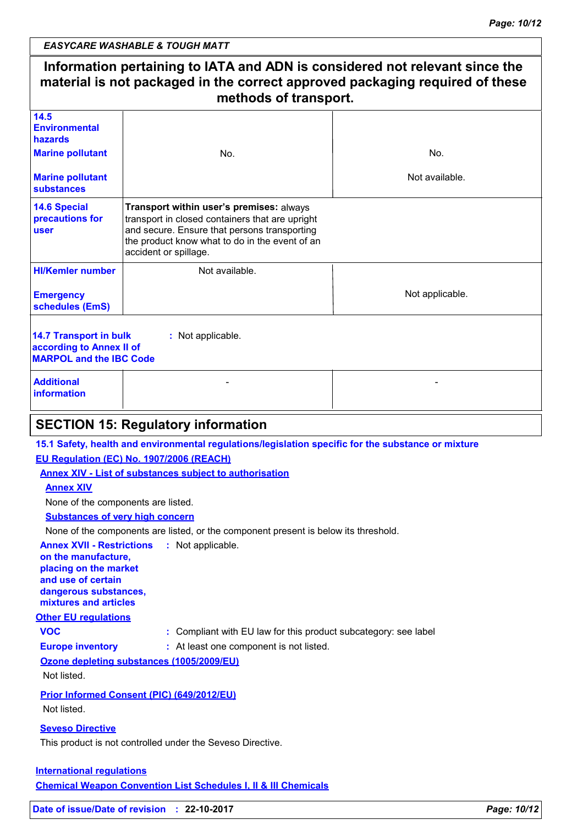|                                                                                             | Information pertaining to IATA and ADN is considered not relevant since the<br>material is not packaged in the correct approved packaging required of these<br>methods of transport.                                   |                 |
|---------------------------------------------------------------------------------------------|------------------------------------------------------------------------------------------------------------------------------------------------------------------------------------------------------------------------|-----------------|
| 14.5<br><b>Environmental</b><br>hazards                                                     |                                                                                                                                                                                                                        |                 |
| <b>Marine pollutant</b>                                                                     | No.                                                                                                                                                                                                                    | No.             |
| <b>Marine pollutant</b><br><b>substances</b>                                                |                                                                                                                                                                                                                        | Not available.  |
| <b>14.6 Special</b><br>precautions for<br><b>user</b>                                       | Transport within user's premises: always<br>transport in closed containers that are upright<br>and secure. Ensure that persons transporting<br>the product know what to do in the event of an<br>accident or spillage. |                 |
| <b>HI/Kemler number</b>                                                                     | Not available.                                                                                                                                                                                                         |                 |
| <b>Emergency</b><br>schedules (EmS)                                                         |                                                                                                                                                                                                                        | Not applicable. |
| <b>14.7 Transport in bulk</b><br>according to Annex II of<br><b>MARPOL and the IBC Code</b> | : Not applicable.                                                                                                                                                                                                      |                 |
| <b>Additional</b><br><b>information</b>                                                     |                                                                                                                                                                                                                        |                 |
|                                                                                             | <b>SECTION 15: Regulatory information</b>                                                                                                                                                                              |                 |
|                                                                                             | 15.1 Safety, health and environmental regulations/legislation specific for the substance or mixture                                                                                                                    |                 |
|                                                                                             | EU Regulation (EC) No. 1907/2006 (REACH)                                                                                                                                                                               |                 |
|                                                                                             | <b>Annex XIV - List of substances subject to authorisation</b>                                                                                                                                                         |                 |
| <b>Annex XIV</b>                                                                            |                                                                                                                                                                                                                        |                 |
| None of the components are listed.                                                          |                                                                                                                                                                                                                        |                 |
| <b>Substances of very high concern</b>                                                      |                                                                                                                                                                                                                        |                 |
|                                                                                             | None of the components are listed, or the component present is below its threshold.                                                                                                                                    |                 |
| <b>Annex XVII - Restrictions</b><br>on the manufacture,                                     | : Not applicable.                                                                                                                                                                                                      |                 |
| placing on the market                                                                       |                                                                                                                                                                                                                        |                 |
| and use of certain                                                                          |                                                                                                                                                                                                                        |                 |
| dangerous substances,<br>mixtures and articles                                              |                                                                                                                                                                                                                        |                 |
| <b>Other EU regulations</b>                                                                 |                                                                                                                                                                                                                        |                 |
| <b>VOC</b>                                                                                  | : Compliant with EU law for this product subcategory: see label                                                                                                                                                        |                 |
| <b>Europe inventory</b>                                                                     | : At least one component is not listed.                                                                                                                                                                                |                 |
| Not listed.                                                                                 | Ozone depleting substances (1005/2009/EU)                                                                                                                                                                              |                 |
| Not listed.                                                                                 | Prior Informed Consent (PIC) (649/2012/EU)                                                                                                                                                                             |                 |
| <b>Seveso Directive</b>                                                                     |                                                                                                                                                                                                                        |                 |
|                                                                                             | This product is not controlled under the Seveso Directive.                                                                                                                                                             |                 |
|                                                                                             |                                                                                                                                                                                                                        |                 |
| <b>International requlations</b>                                                            |                                                                                                                                                                                                                        |                 |
|                                                                                             | <b>Chemical Weapon Convention List Schedules I, II &amp; III Chemicals</b>                                                                                                                                             |                 |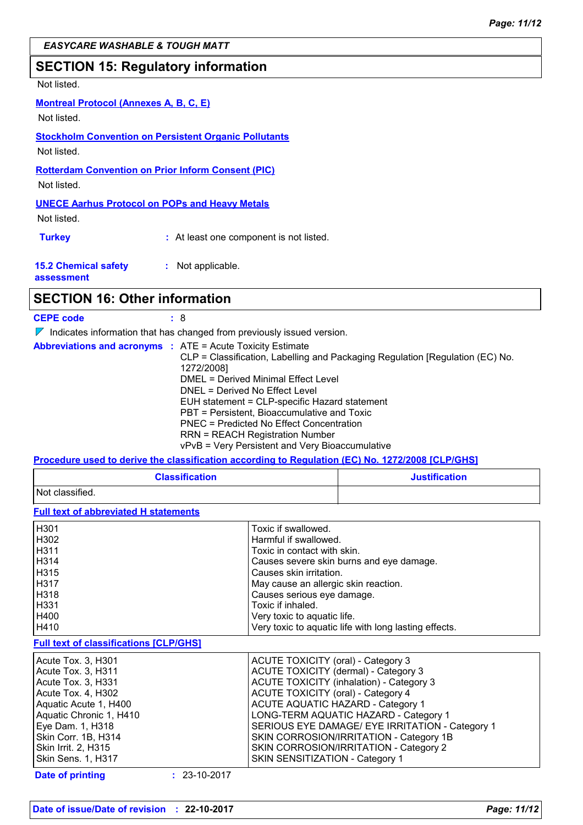### **SECTION 15: Regulatory information**

### Not listed.

#### **Montreal Protocol (Annexes A, B, C, E)**

Not listed.

#### **Stockholm Convention on Persistent Organic Pollutants** Not listed.

**Rotterdam Convention on Prior Inform Consent (PIC)**

Not listed.

### **UNECE Aarhus Protocol on POPs and Heavy Metals**

Not listed.

**Turkey :** At least one component is not listed.

| <b>15.2 Chemical safety</b> | : Not applicable. |
|-----------------------------|-------------------|
| assessment                  |                   |

### **SECTION 16: Other information**

| <b>CEPE code</b> |                                                                  |
|------------------|------------------------------------------------------------------|
|                  | $\triangledown$ ledicates information that has shopped from prov |

 $\blacksquare$  Indicates information that has changed from previously issued version. V

|  | <b>Abbreviations and acronyms : ATE = Acute Toxicity Estimate</b>             |
|--|-------------------------------------------------------------------------------|
|  | CLP = Classification, Labelling and Packaging Regulation [Regulation (EC) No. |
|  | 1272/2008]                                                                    |
|  | DMEL = Derived Minimal Effect Level                                           |
|  | DNEL = Derived No Effect Level                                                |
|  | EUH statement = CLP-specific Hazard statement                                 |
|  | PBT = Persistent, Bioaccumulative and Toxic                                   |
|  | PNEC = Predicted No Effect Concentration                                      |
|  | <b>RRN = REACH Registration Number</b>                                        |
|  | vPvB = Very Persistent and Very Bioaccumulative                               |

#### **Procedure used to derive the classification according to Regulation (EC) No. 1272/2008 [CLP/GHS]**

| <b>Classification</b> | <b>Justification</b> |
|-----------------------|----------------------|
| Not classified.       |                      |

**Full text of abbreviated H statements**

| H301 | Toxic if swallowed.                                   |
|------|-------------------------------------------------------|
| H302 | Harmful if swallowed.                                 |
| H311 | Toxic in contact with skin.                           |
| H314 | Causes severe skin burns and eye damage.              |
| H315 | Causes skin irritation.                               |
| H317 | May cause an allergic skin reaction.                  |
| H318 | Causes serious eye damage.                            |
| H331 | Toxic if inhaled.                                     |
| H400 | Very toxic to aquatic life.                           |
| H410 | Very toxic to aquatic life with long lasting effects. |

#### **Full text of classifications [CLP/GHS]**

| Acute Tox. 3, H301        | ACUTE TOXICITY (oral) - Category 3              |
|---------------------------|-------------------------------------------------|
| Acute Tox. 3, H311        | <b>ACUTE TOXICITY (dermal) - Category 3</b>     |
| Acute Tox. 3, H331        | ACUTE TOXICITY (inhalation) - Category 3        |
| Acute Tox. 4, H302        | <b>ACUTE TOXICITY (oral) - Category 4</b>       |
| Aquatic Acute 1, H400     | <b>ACUTE AQUATIC HAZARD - Category 1</b>        |
| Aquatic Chronic 1, H410   | LONG-TERM AQUATIC HAZARD - Category 1           |
| Eye Dam. 1, H318          | SERIOUS EYE DAMAGE/ EYE IRRITATION - Category 1 |
| Skin Corr. 1B, H314       | SKIN CORROSION/IRRITATION - Category 1B         |
| Skin Irrit. 2, H315       | SKIN CORROSION/IRRITATION - Category 2          |
| <b>Skin Sens. 1, H317</b> | SKIN SENSITIZATION - Category 1                 |

#### **Date of printing :** 23-10-2017